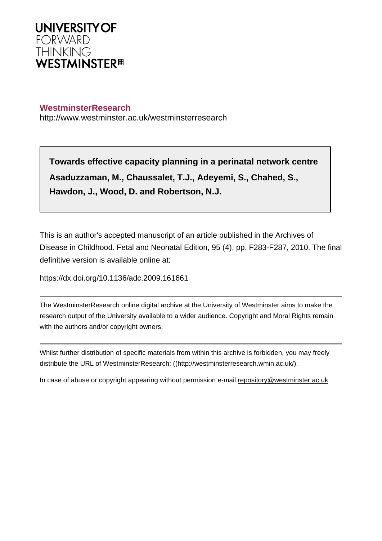

# **WestminsterResearch**

http://www.westminster.ac.uk/westminsterresearch

**Towards effective capacity planning in a perinatal network centre Asaduzzaman, M., Chaussalet, T.J., Adeyemi, S., Chahed, S., Hawdon, J., Wood, D. and Robertson, N.J.**

This is an author's accepted manuscript of an article published in the Archives of Disease in Childhood. Fetal and Neonatal Edition, 95 (4), pp. F283-F287, 2010. The final definitive version is available online at:

<https://dx.doi.org/10.1136/adc.2009.161661>

The WestminsterResearch online digital archive at the University of Westminster aims to make the research output of the University available to a wider audience. Copyright and Moral Rights remain with the authors and/or copyright owners.

Whilst further distribution of specific materials from within this archive is forbidden, you may freely distribute the URL of WestminsterResearch: [\(\(http://westminsterresearch.wmin.ac.uk/](http://westminsterresearch.wmin.ac.uk/)).

In case of abuse or copyright appearing without permission e-mail <repository@westminster.ac.uk>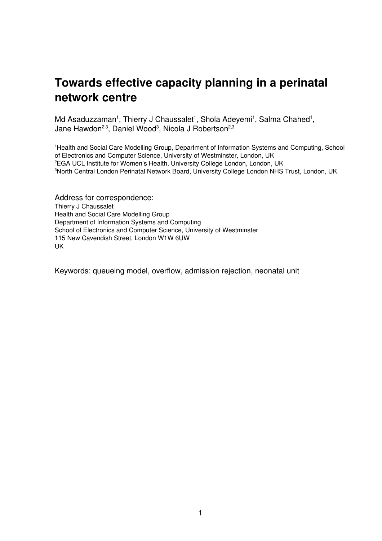# **Towards effective capacity planning in a perinatal network centre**

Md Asaduzzaman<sup>1</sup>, Thierry J Chaussalet<sup>1</sup>, Shola Adeyemi<sup>1</sup>, Salma Chahed<sup>1</sup>, Jane Hawdon<sup>2,3</sup>, Daniel Wood<sup>3</sup>, Nicola J Robertson<sup>2,3</sup>

<sup>1</sup>Health and Social Care Modelling Group, Department of Information Systems and Computing, School of Electronics and Computer Science, University of Westminster, London, UK <sup>2</sup>EGA UCL Institute for Women's Health, University College London, London, UK <sup>3</sup>North Central London Perinatal Network Board, University College London NHS Trust, London, UK

Address for correspondence: Thierry J Chaussalet Health and Social Care Modelling Group Department of Information Systems and Computing School of Electronics and Computer Science, University of Westminster 115 New Cavendish Street, London W1W 6UW UK

Keywords: queueing model, overflow, admission rejection, neonatal unit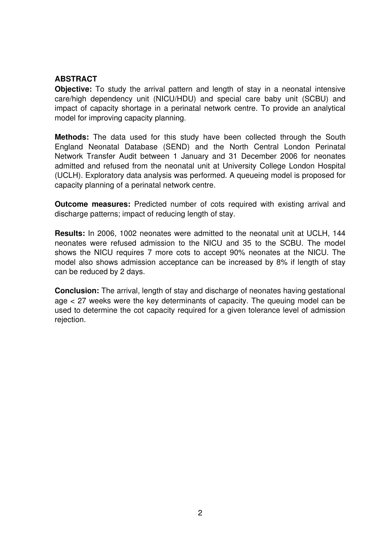# **ABSTRACT**

**Objective:** To study the arrival pattern and length of stay in a neonatal intensive care/high dependency unit (NICU/HDU) and special care baby unit (SCBU) and impact of capacity shortage in a perinatal network centre. To provide an analytical model for improving capacity planning.

**Methods:** The data used for this study have been collected through the South England Neonatal Database (SEND) and the North Central London Perinatal Network Transfer Audit between 1 January and 31 December 2006 for neonates admitted and refused from the neonatal unit at University College London Hospital (UCLH). Exploratory data analysis was performed. A queueing model is proposed for capacity planning of a perinatal network centre.

**Outcome measures:** Predicted number of cots required with existing arrival and discharge patterns; impact of reducing length of stay.

**Results:** In 2006, 1002 neonates were admitted to the neonatal unit at UCLH, 144 neonates were refused admission to the NICU and 35 to the SCBU. The model shows the NICU requires 7 more cots to accept 90% neonates at the NICU. The model also shows admission acceptance can be increased by 8% if length of stay can be reduced by 2 days.

**Conclusion:** The arrival, length of stay and discharge of neonates having gestational age < 27 weeks were the key determinants of capacity. The queuing model can be used to determine the cot capacity required for a given tolerance level of admission rejection.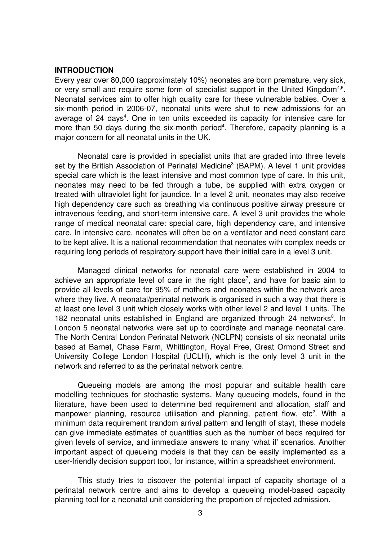#### **INTRODUCTION**

Every year over 80,000 (approximately 10%) neonates are born premature, very sick, or very small and require some form of specialist support in the United Kingdom<sup>4,6</sup>. Neonatal services aim to offer high quality care for these vulnerable babies. Over a six-month period in 2006-07, neonatal units were shut to new admissions for an average of 24 days<sup>4</sup>. One in ten units exceeded its capacity for intensive care for more than 50 days during the six-month period<sup>4</sup>. Therefore, capacity planning is a major concern for all neonatal units in the UK.

Neonatal care is provided in specialist units that are graded into three levels set by the British Association of Perinatal Medicine<sup>3</sup> (BAPM). A level 1 unit provides special care which is the least intensive and most common type of care. In this unit, neonates may need to be fed through a tube, be supplied with extra oxygen or treated with ultraviolet light for jaundice. In a level 2 unit, neonates may also receive high dependency care such as breathing via continuous positive airway pressure or intravenous feeding, and short-term intensive care. A level 3 unit provides the whole range of medical neonatal care: special care, high dependency care, and intensive care. In intensive care, neonates will often be on a ventilator and need constant care to be kept alive. It is a national recommendation that neonates with complex needs or requiring long periods of respiratory support have their initial care in a level 3 unit.

Managed clinical networks for neonatal care were established in 2004 to achieve an appropriate level of care in the right place<sup>7</sup>, and have for basic aim to provide all levels of care for 95% of mothers and neonates within the network area where they live. A neonatal/perinatal network is organised in such a way that there is at least one level 3 unit which closely works with other level 2 and level 1 units. The 182 neonatal units established in England are organized through 24 networks<sup>8</sup>. In London 5 neonatal networks were set up to coordinate and manage neonatal care. The North Central London Perinatal Network (NCLPN) consists of six neonatal units based at Barnet, Chase Farm, Whittington, Royal Free, Great Ormond Street and University College London Hospital (UCLH), which is the only level 3 unit in the network and referred to as the perinatal network centre.

Queueing models are among the most popular and suitable health care modelling techniques for stochastic systems. Many queueing models, found in the literature, have been used to determine bed requirement and allocation, staff and manpower planning, resource utilisation and planning, patient flow, etc<sup>2</sup>. With a minimum data requirement (random arrival pattern and length of stay), these models can give immediate estimates of quantities such as the number of beds required for given levels of service, and immediate answers to many 'what if' scenarios. Another important aspect of queueing models is that they can be easily implemented as a user-friendly decision support tool, for instance, within a spreadsheet environment.

This study tries to discover the potential impact of capacity shortage of a perinatal network centre and aims to develop a queueing model-based capacity planning tool for a neonatal unit considering the proportion of rejected admission.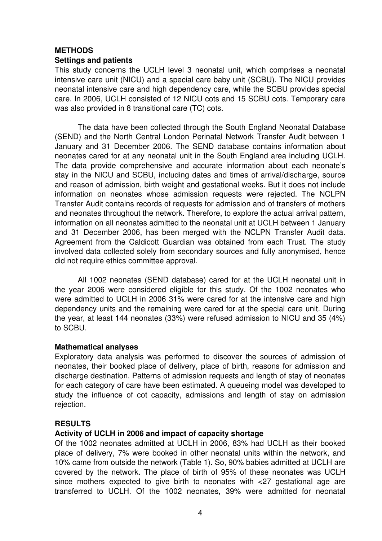# **METHODS**

## **Settings and patients**

This study concerns the UCLH level 3 neonatal unit, which comprises a neonatal intensive care unit (NICU) and a special care baby unit (SCBU). The NICU provides neonatal intensive care and high dependency care, while the SCBU provides special care. In 2006, UCLH consisted of 12 NICU cots and 15 SCBU cots. Temporary care was also provided in 8 transitional care (TC) cots.

The data have been collected through the South England Neonatal Database (SEND) and the North Central London Perinatal Network Transfer Audit between 1 January and 31 December 2006. The SEND database contains information about neonates cared for at any neonatal unit in the South England area including UCLH. The data provide comprehensive and accurate information about each neonate's stay in the NICU and SCBU, including dates and times of arrival/discharge, source and reason of admission, birth weight and gestational weeks. But it does not include information on neonates whose admission requests were rejected. The NCLPN Transfer Audit contains records of requests for admission and of transfers of mothers and neonates throughout the network. Therefore, to explore the actual arrival pattern, information on all neonates admitted to the neonatal unit at UCLH between 1 January and 31 December 2006, has been merged with the NCLPN Transfer Audit data. Agreement from the Caldicott Guardian was obtained from each Trust. The study involved data collected solely from secondary sources and fully anonymised, hence did not require ethics committee approval.

All 1002 neonates (SEND database) cared for at the UCLH neonatal unit in the year 2006 were considered eligible for this study. Of the 1002 neonates who were admitted to UCLH in 2006 31% were cared for at the intensive care and high dependency units and the remaining were cared for at the special care unit. During the year, at least 144 neonates (33%) were refused admission to NICU and 35 (4%) to SCBU.

## **Mathematical analyses**

Exploratory data analysis was performed to discover the sources of admission of neonates, their booked place of delivery, place of birth, reasons for admission and discharge destination. Patterns of admission requests and length of stay of neonates for each category of care have been estimated. A queueing model was developed to study the influence of cot capacity, admissions and length of stay on admission rejection.

## **RESULTS**

## **Activity of UCLH in 2006 and impact of capacity shortage**

Of the 1002 neonates admitted at UCLH in 2006, 83% had UCLH as their booked place of delivery, 7% were booked in other neonatal units within the network, and 10% came from outside the network (Table 1). So, 90% babies admitted at UCLH are covered by the network. The place of birth of 95% of these neonates was UCLH since mothers expected to qive birth to neonates with  $\langle 27 \rangle$  qestational age are transferred to UCLH. Of the 1002 neonates, 39% were admitted for neonatal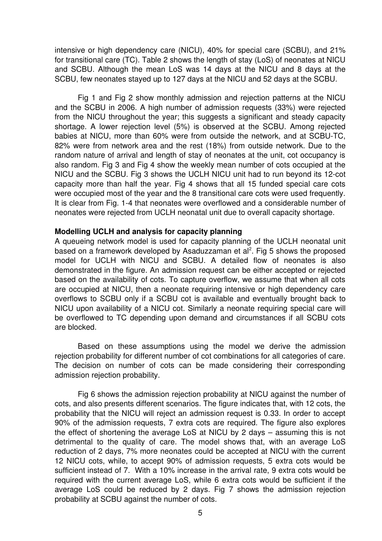intensive or high dependency care (NICU), 40% for special care (SCBU), and 21% for transitional care (TC). Table 2 shows the length of stay (LoS) of neonates at NICU and SCBU. Although the mean LoS was 14 days at the NICU and 8 days at the SCBU, few neonates stayed up to 127 days at the NICU and 52 days at the SCBU.

Fig 1 and Fig 2 show monthly admission and rejection patterns at the NICU and the SCBU in 2006. A high number of admission requests (33%) were rejected from the NICU throughout the year; this suggests a significant and steady capacity shortage. A lower rejection level (5%) is observed at the SCBU. Among rejected babies at NICU, more than 60% were from outside the network, and at SCBU-TC, 82% were from network area and the rest (18%) from outside network. Due to the random nature of arrival and length of stay of neonates at the unit, cot occupancy is also random. Fig 3 and Fig 4 show the weekly mean number of cots occupied at the NICU and the SCBU. Fig 3 shows the UCLH NICU unit had to run beyond its 12-cot capacity more than half the year. Fig 4 shows that all 15 funded special care cots were occupied most of the year and the 8 transitional care cots were used frequently. It is clear from Fig. 1-4 that neonates were overflowed and a considerable number of neonates were rejected from UCLH neonatal unit due to overall capacity shortage.

#### **Modelling UCLH and analysis for capacity planning**

A queueing network model is used for capacity planning of the UCLH neonatal unit based on a framework developed by Asaduzzaman et al<sup>2</sup>. Fig 5 shows the proposed model for UCLH with NICU and SCBU. A detailed flow of neonates is also demonstrated in the figure. An admission request can be either accepted or rejected based on the availability of cots. To capture overflow, we assume that when all cots are occupied at NICU, then a neonate requiring intensive or high dependency care overflows to SCBU only if a SCBU cot is available and eventually brought back to NICU upon availability of a NICU cot. Similarly a neonate requiring special care will be overflowed to TC depending upon demand and circumstances if all SCBU cots are blocked.

Based on these assumptions using the model we derive the admission rejection probability for different number of cot combinations for all categories of care. The decision on number of cots can be made considering their corresponding admission rejection probability.

Fig 6 shows the admission rejection probability at NICU against the number of cots, and also presents different scenarios. The figure indicates that, with 12 cots, the probability that the NICU will reject an admission request is 0.33. In order to accept 90% of the admission requests, 7 extra cots are required. The figure also explores the effect of shortening the average LoS at NICU by 2 days – assuming this is not detrimental to the quality of care. The model shows that, with an average LoS reduction of 2 days, 7% more neonates could be accepted at NICU with the current 12 NICU cots, while, to accept 90% of admission requests, 5 extra cots would be sufficient instead of 7. With a 10% increase in the arrival rate, 9 extra cots would be required with the current average LoS, while 6 extra cots would be sufficient if the average LoS could be reduced by 2 days. Fig 7 shows the admission rejection probability at SCBU against the number of cots.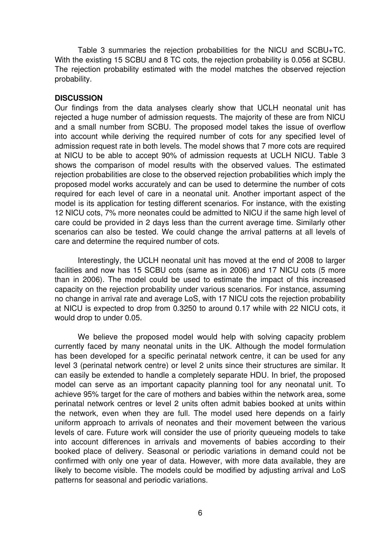Table 3 summaries the rejection probabilities for the NICU and SCBU+TC. With the existing 15 SCBU and 8 TC cots, the rejection probability is 0.056 at SCBU. The rejection probability estimated with the model matches the observed rejection probability.

# **DISCUSSION**

Our findings from the data analyses clearly show that UCLH neonatal unit has rejected a huge number of admission requests. The majority of these are from NICU and a small number from SCBU. The proposed model takes the issue of overflow into account while deriving the required number of cots for any specified level of admission request rate in both levels. The model shows that 7 more cots are required at NICU to be able to accept 90% of admission requests at UCLH NICU. Table 3 shows the comparison of model results with the observed values. The estimated rejection probabilities are close to the observed rejection probabilities which imply the proposed model works accurately and can be used to determine the number of cots required for each level of care in a neonatal unit. Another important aspect of the model is its application for testing different scenarios. For instance, with the existing 12 NICU cots, 7% more neonates could be admitted to NICU if the same high level of care could be provided in 2 days less than the current average time. Similarly other scenarios can also be tested. We could change the arrival patterns at all levels of care and determine the required number of cots.

Interestingly, the UCLH neonatal unit has moved at the end of 2008 to larger facilities and now has 15 SCBU cots (same as in 2006) and 17 NICU cots (5 more than in 2006). The model could be used to estimate the impact of this increased capacity on the rejection probability under various scenarios. For instance, assuming no change in arrival rate and average LoS, with 17 NICU cots the rejection probability at NICU is expected to drop from 0.3250 to around 0.17 while with 22 NICU cots, it would drop to under 0.05.

We believe the proposed model would help with solving capacity problem currently faced by many neonatal units in the UK. Although the model formulation has been developed for a specific perinatal network centre, it can be used for any level 3 (perinatal network centre) or level 2 units since their structures are similar. It can easily be extended to handle a completely separate HDU. In brief, the proposed model can serve as an important capacity planning tool for any neonatal unit. To achieve 95% target for the care of mothers and babies within the network area, some perinatal network centres or level 2 units often admit babies booked at units within the network, even when they are full. The model used here depends on a fairly uniform approach to arrivals of neonates and their movement between the various levels of care. Future work will consider the use of priority queueing models to take into account differences in arrivals and movements of babies according to their booked place of delivery. Seasonal or periodic variations in demand could not be confirmed with only one year of data. However, with more data available, they are likely to become visible. The models could be modified by adjusting arrival and LoS patterns for seasonal and periodic variations.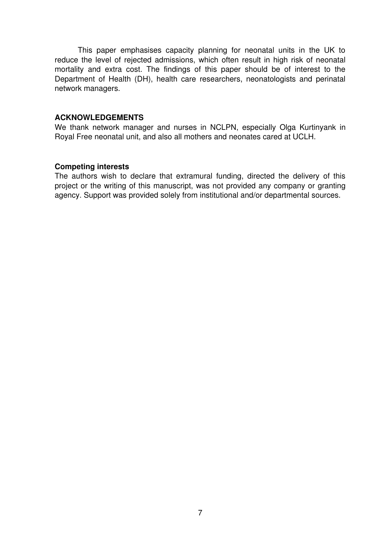This paper emphasises capacity planning for neonatal units in the UK to reduce the level of rejected admissions, which often result in high risk of neonatal mortality and extra cost. The findings of this paper should be of interest to the Department of Health (DH), health care researchers, neonatologists and perinatal network managers.

## **ACKNOWLEDGEMENTS**

We thank network manager and nurses in NCLPN, especially Olga Kurtinyank in Royal Free neonatal unit, and also all mothers and neonates cared at UCLH.

## **Competing interests**

The authors wish to declare that extramural funding, directed the delivery of this project or the writing of this manuscript, was not provided any company or granting agency. Support was provided solely from institutional and/or departmental sources.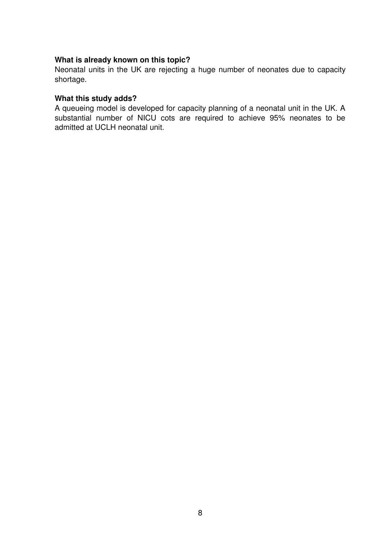# **What is already known on this topic?**

Neonatal units in the UK are rejecting a huge number of neonates due to capacity shortage.

# **What this study adds?**

A queueing model is developed for capacity planning of a neonatal unit in the UK. A substantial number of NICU cots are required to achieve 95% neonates to be admitted at UCLH neonatal unit.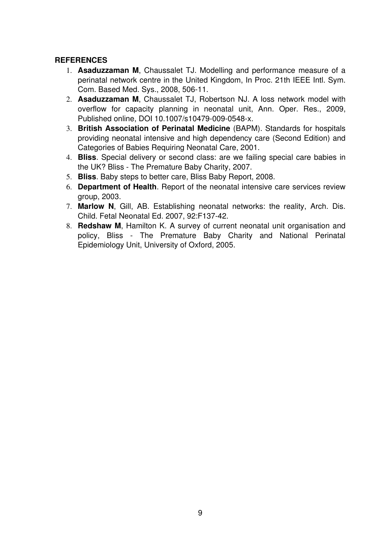# **REFERENCES**

- 1. **Asaduzzaman M**, Chaussalet TJ. Modelling and performance measure of a perinatal network centre in the United Kingdom, In Proc. 21th IEEE Intl. Sym. Com. Based Med. Sys., 2008, 50611.
- 2. **Asaduzzaman M**, Chaussalet TJ, Robertson NJ. A loss network model with overflow for capacity planning in neonatal unit, Ann. Oper. Res., 2009, Published online, DOI 10.1007/s10479-009-0548-x.
- 3. **British Association of Perinatal Medicine** (BAPM). Standards for hospitals providing neonatal intensive and high dependency care (Second Edition) and Categories of Babies Requiring Neonatal Care, 2001.
- 4. **Bliss**. Special delivery or second class: are we failing special care babies in the UK? Bliss - The Premature Baby Charity, 2007.
- 5. **Bliss**. Baby steps to better care, Bliss Baby Report, 2008.
- 6. **Department of Health**. Report of the neonatal intensive care services review group, 2003.
- 7. **Marlow N**, Gill, AB. Establishing neonatal networks: the reality, Arch. Dis. Child. Fetal Neonatal Ed. 2007, 92:F137-42.
- 8. **Redshaw M**, Hamilton K. A survey of current neonatal unit organisation and policy, Bliss The Premature Baby Charity and National Perinatal Epidemiology Unit, University of Oxford, 2005.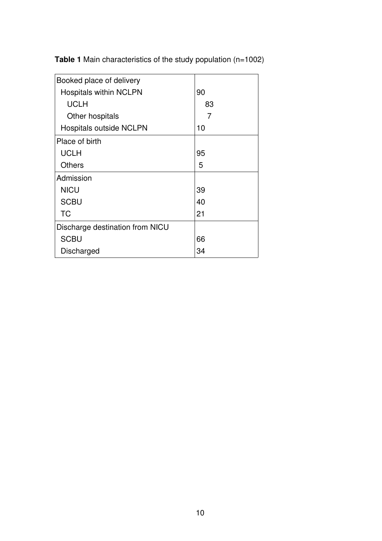**Table 1** Main characteristics of the study population (n=1002)

| Booked place of delivery        |    |
|---------------------------------|----|
| <b>Hospitals within NCLPN</b>   | 90 |
| <b>UCLH</b>                     | 83 |
| Other hospitals                 | 7  |
| <b>Hospitals outside NCLPN</b>  | 10 |
| Place of birth                  |    |
| <b>UCLH</b>                     | 95 |
| <b>Others</b>                   | 5  |
| Admission                       |    |
| <b>NICU</b>                     | 39 |
| <b>SCBU</b>                     | 40 |
| <b>TC</b>                       | 21 |
| Discharge destination from NICU |    |
| <b>SCBU</b>                     | 66 |
| Discharged                      | 34 |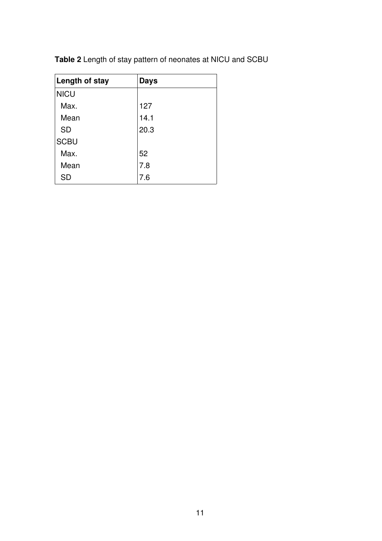| Length of stay | <b>Days</b> |
|----------------|-------------|
| <b>NICU</b>    |             |
| Max.           | 127         |
| Mean           | 14.1        |
| <b>SD</b>      | 20.3        |
| <b>SCBU</b>    |             |
| Max.           | 52          |
| Mean           | 7.8         |
| SD             | 7.6         |

**Table 2** Length of stay pattern of neonates at NICU and SCBU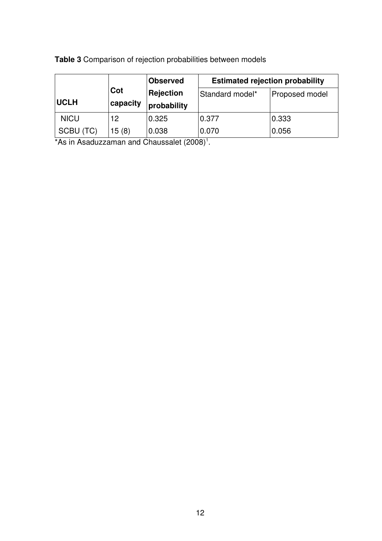|             |          | <b>Observed</b>  | <b>Estimated rejection probability</b> |                |
|-------------|----------|------------------|----------------------------------------|----------------|
|             | Cot      | <b>Rejection</b> | Standard model*                        | Proposed model |
| <b>UCLH</b> | capacity | probability      |                                        |                |
| <b>NICU</b> | 12       | 0.325            | 0.377                                  | 0.333          |
| SCBU (TC)   | 15(8)    | 0.038            | 0.070                                  | 0.056          |

**Table 3** Comparison of rejection probabilities between models

\*As in Asaduzzaman and Chaussalet  $(2008)^1$ .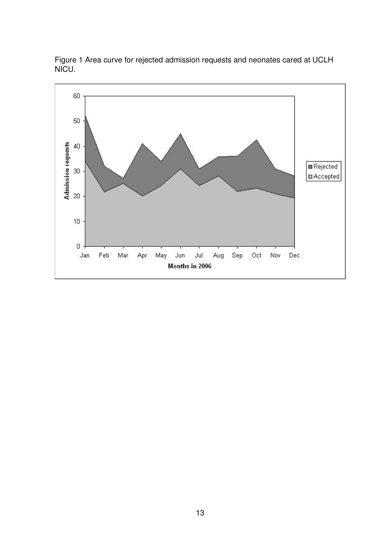

Figure 1 Area curve for rejected admission requests and neonates cared at UCLH NICU.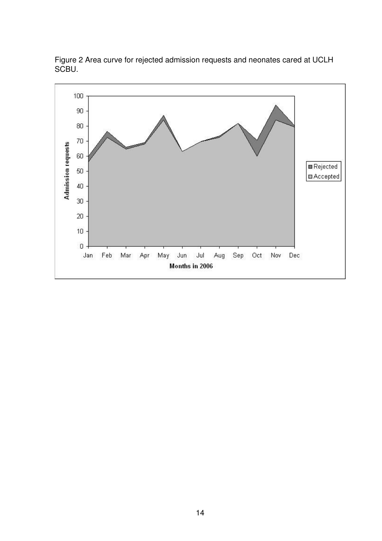

Figure 2 Area curve for rejected admission requests and neonates cared at UCLH SCBU.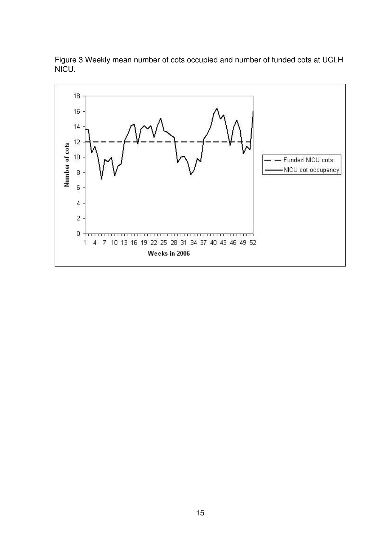

Figure 3 Weekly mean number of cots occupied and number of funded cots at UCLH NICU.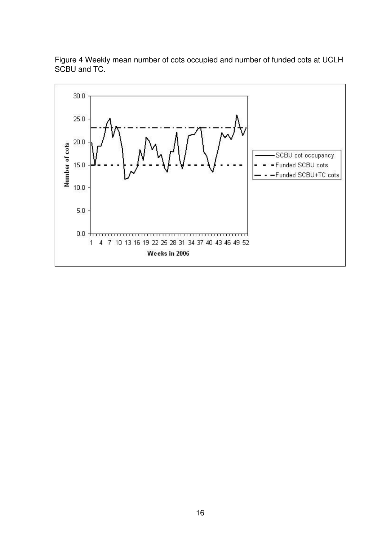

Figure 4 Weekly mean number of cots occupied and number of funded cots at UCLH SCBU and TC.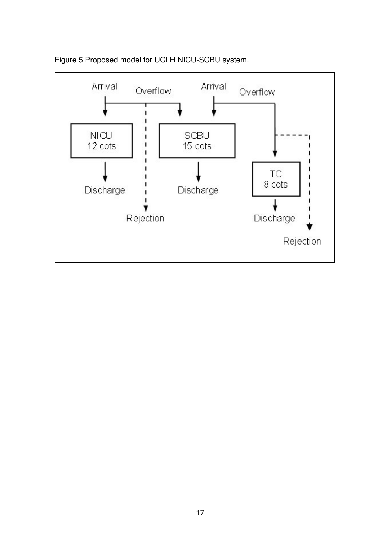

# Figure 5 Proposed model for UCLH NICU-SCBU system.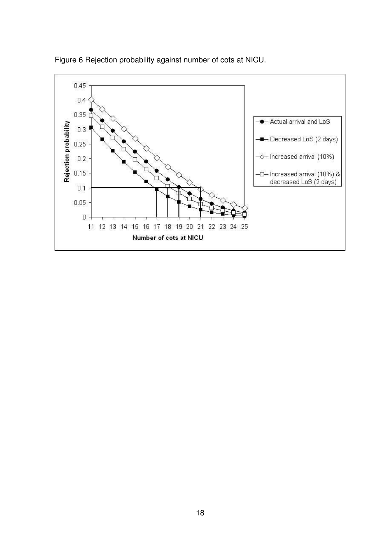

Figure 6 Rejection probability against number of cots at NICU.